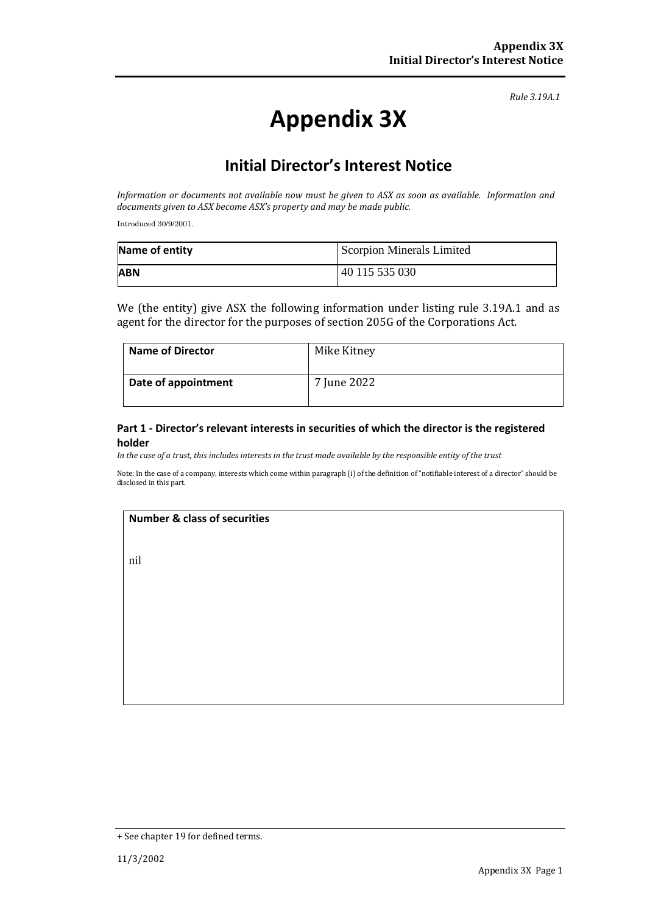*Rule 3.19A.1*

# **Appendix 3X**

# **Initial Director's Interest Notice**

*Information or documents not available now must be given to ASX as soon as available. Information and documents given to ASX become ASX's property and may be made public.*

Introduced 30/9/2001.

| Name of entity | Scorpion Minerals Limited |
|----------------|---------------------------|
| <b>ABN</b>     | 40 115 535 030            |

We (the entity) give ASX the following information under listing rule 3.19A.1 and as agent for the director for the purposes of section 205G of the Corporations Act.

| <b>Name of Director</b> | Mike Kitney |
|-------------------------|-------------|
| Date of appointment     | 7 June 2022 |

#### **Part 1 - Director's relevant interests in securities of which the director is the registered holder**

*In the case of a trust, this includes interests in the trust made available by the responsible entity of the trust*

Note: In the case of a company, interests which come within paragraph (i) of the definition of "notifiable interest of a director" should be disclosed in this part.

#### **Number & class of securities**

nil

<sup>+</sup> See chapter 19 for defined terms.